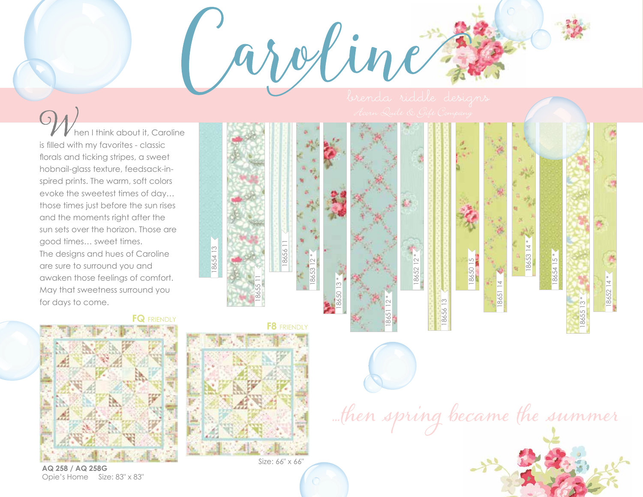18652 12 \*

18652

18656 13

hen I think about it, Caroline is filled with my favorites - classic florals and ticking stripes, a sweet hobnail-glass texture, feedsack-in spired prints. The warm, soft colors evoke the sweetest times of day… those times just before the sun rises and the moments right after the sun sets over the horizon. Those are good times… sweet times. The designs and hues of Caroline are sure to surround you and awaken those feelings of comfort. May that sweetness surround you for days to come.



**AQ 258 / AQ 258G** Opie's Home Size: 83" x 83"



18655 11

18654 13



18651 12 \*

... then spring became the summer

18650 15

18651 14

18653 14 \*

18654 15 \*

Size: 66" x 66"

18653 12 \*

aroline

18650 13 \*

18656 11



18655 13 \*

18652 14 \*

1865214\*